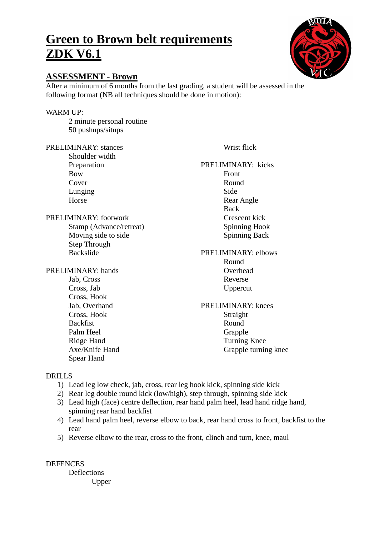# **Green to Brown belt requirements ZDK V6.1**

## **ASSESSMENT - Brown**

After a minimum of 6 months from the last grading, a student will be assessed in the following format (NB all techniques should be done in motion):

## WARM UP:

2 minute personal routine 50 pushups/situps

PRELIMINARY: stances

Shoulder width Preparation Bow Cover Lunging Horse

### PRELIMINARY: footwork

Stamp (Advance/retreat) Moving side to side Step Through Backslide

PRELIMINARY: hands Jab, Cross Cross, Jab Cross, Hook Jab, Overhand Cross, Hook Backfist

Palm Heel Ridge Hand Axe/Knife Hand Spear Hand

Wrist flick

## PRELIMINARY: kicks Front Round Side Rear Angle Back Crescent kick Spinning Hook Spinning Back

#### PRELIMINARY: elbows Round Overhead

Reverse Uppercut

PRELIMINARY: knees Straight Round Grapple Turning Knee Grapple turning knee

## DRILLS

- 1) Lead leg low check, jab, cross, rear leg hook kick, spinning side kick
- 2) Rear leg double round kick (low/high), step through, spinning side kick
- 3) Lead high (face) centre deflection, rear hand palm heel, lead hand ridge hand, spinning rear hand backfist
- 4) Lead hand palm heel, reverse elbow to back, rear hand cross to front, backfist to the rear
- 5) Reverse elbow to the rear, cross to the front, clinch and turn, knee, maul

DEFENCES Deflections Upper